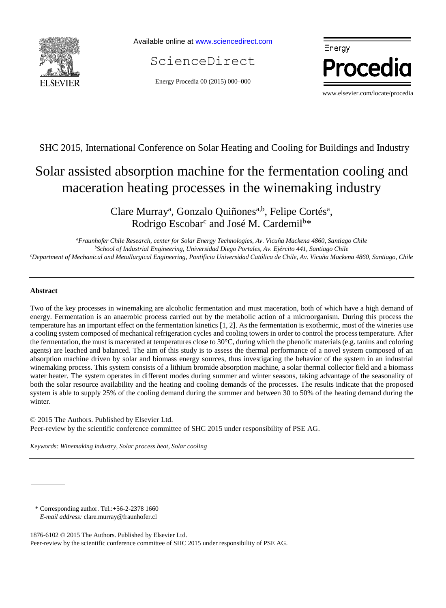

Available online a[t www.sciencedirect.com](http://www.sciencedirect.com/science/journal/22126716)

ScienceDirect

Energy Procedia 00 (2015) 000–000



www.elsevier.com/locate/procedia

# SHC 2015, International Conference on Solar Heating and Cooling for Buildings and Industry

# Solar assisted absorption machine for the fermentation cooling and maceration heating processes in the winemaking industry

Clare Murray<sup>a</sup>, Gonzalo Quiñones<sup>a,b</sup>, Felipe Cortés<sup>a</sup>, Rodrigo Escobar<sup>c</sup> and José M. Cardemil<sup>b\*</sup>

*<sup>a</sup>Fraunhofer Chile Research, center for Solar Energy Technologies, Av. Vicuña Mackena 4860, Santiago Chile <sup>b</sup>School of Industrial Engineering, Universidad Diego Portales, Av. Ejército 441, Santiago Chile <sup>c</sup>Department of Mechanical and Metallurgical Engineering, Pontificia Universidad Católica de Chile, Av. Vicuña Mackena 4860, Santiago, Chile*

# **Abstract**

Two of the key processes in winemaking are alcoholic fermentation and must maceration, both of which have a high demand of energy. Fermentation is an anaerobic process carried out by the metabolic action of a microorganism. During this process the temperature has an important effect on the fermentation kinetics [1, 2]. As the fermentation is exothermic, most of the wineries use a cooling system composed of mechanical refrigeration cycles and cooling towers in order to control the process temperature. After the fermentation, the must is macerated at temperatures close to  $30^{\circ}$ C, during which the phenolic materials (e.g. tanins and coloring agents) are leached and balanced. The aim of this study is to assess the thermal performance of a novel system composed of an absorption machine driven by solar and biomass energy sources, thus investigating the behavior of the system in an industrial winemaking process. This system consists of a lithium bromide absorption machine, a solar thermal collector field and a biomass water heater. The system operates in different modes during summer and winter seasons, taking advantage of the seasonality of both the solar resource availability and the heating and cooling demands of the processes. The results indicate that the proposed system is able to supply 25% of the cooling demand during the summer and between 30 to 50% of the heating demand during the winter.

© 2015 The Authors. Published by Elsevier Ltd. Peer-review by the scientific conference committee of SHC 2015 under responsibility of PSE AG.

*Keywords: Winemaking industry, Solar process heat, Solar cooling*

\* Corresponding author. Tel.:+56-2-2378 1660 *E-mail address:* clare.murray@fraunhofer.cl

1876-6102 © 2015 The Authors. Published by Elsevier Ltd. Peer-review by the scientific conference committee of SHC 2015 under responsibility of PSE AG.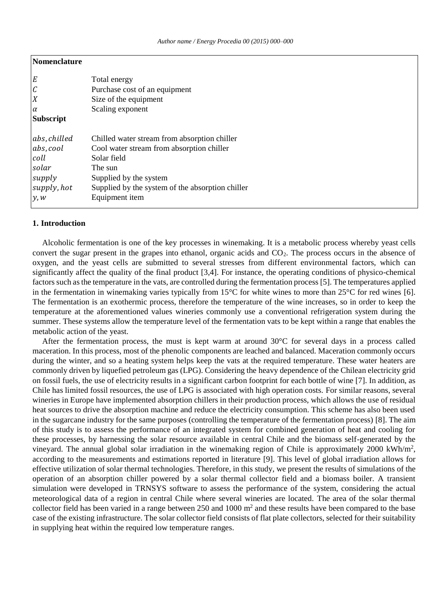| Nomenclature     |                                                  |
|------------------|--------------------------------------------------|
| E                | Total energy                                     |
| $\mathcal C$     | Purchase cost of an equipment                    |
| X                | Size of the equipment                            |
| $\alpha$         | Scaling exponent                                 |
| <b>Subscript</b> |                                                  |
| abs, chilled     | Chilled water stream from absorption chiller     |
| abs, cool        | Cool water stream from absorption chiller        |
| coll             | Solar field                                      |
| solar            | The sun                                          |
| supply           | Supplied by the system                           |
| supply, hot      | Supplied by the system of the absorption chiller |
| y, w             | Equipment item                                   |

# **1. Introduction**

Alcoholic fermentation is one of the key processes in winemaking. It is a metabolic process whereby yeast cells convert the sugar present in the grapes into ethanol, organic acids and  $CO<sub>2</sub>$ . The process occurs in the absence of oxygen, and the yeast cells are submitted to several stresses from different environmental factors, which can significantly affect the quality of the final product [3,4]. For instance, the operating conditions of physico-chemical factors such as the temperature in the vats, are controlled during the fermentation process [5]. The temperatures applied in the fermentation in winemaking varies typically from  $15^{\circ}$ C for white wines to more than  $25^{\circ}$ C for red wines [6]. The fermentation is an exothermic process, therefore the temperature of the wine increases, so in order to keep the temperature at the aforementioned values wineries commonly use a conventional refrigeration system during the summer. These systems allow the temperature level of the fermentation vats to be kept within a range that enables the metabolic action of the yeast.

After the fermentation process, the must is kept warm at around 30°C for several days in a process called maceration. In this process, most of the phenolic components are leached and balanced. Maceration commonly occurs during the winter, and so a heating system helps keep the vats at the required temperature. These water heaters are commonly driven by liquefied petroleum gas (LPG). Considering the heavy dependence of the Chilean electricity grid on fossil fuels, the use of electricity results in a significant carbon footprint for each bottle of wine [7]. In addition, as Chile has limited fossil resources, the use of LPG is associated with high operation costs. For similar reasons, several wineries in Europe have implemented absorption chillers in their production process, which allows the use of residual heat sources to drive the absorption machine and reduce the electricity consumption. This scheme has also been used in the sugarcane industry for the same purposes (controlling the temperature of the fermentation process) [8]. The aim of this study is to assess the performance of an integrated system for combined generation of heat and cooling for these processes, by harnessing the solar resource available in central Chile and the biomass self-generated by the vineyard. The annual global solar irradiation in the winemaking region of Chile is approximately 2000 kWh/m<sup>2</sup>, according to the measurements and estimations reported in literature [9]. This level of global irradiation allows for effective utilization of solar thermal technologies. Therefore, in this study, we present the results of simulations of the operation of an absorption chiller powered by a solar thermal collector field and a biomass boiler. A transient simulation were developed in TRNSYS software to assess the performance of the system, considering the actual meteorological data of a region in central Chile where several wineries are located. The area of the solar thermal collector field has been varied in a range between  $250$  and  $1000$  m<sup>2</sup> and these results have been compared to the base case of the existing infrastructure. The solar collector field consists of flat plate collectors, selected for their suitability in supplying heat within the required low temperature ranges.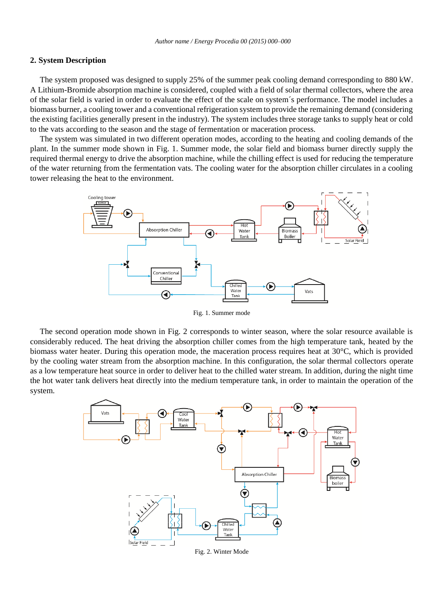# **2. System Description**

The system proposed was designed to supply 25% of the summer peak cooling demand corresponding to 880 kW. A Lithium-Bromide absorption machine is considered, coupled with a field of solar thermal collectors, where the area of the solar field is varied in order to evaluate the effect of the scale on system´s performance. The model includes a biomass burner, a cooling tower and a conventional refrigeration system to provide the remaining demand (considering the existing facilities generally present in the industry). The system includes three storage tanks to supply heat or cold to the vats according to the season and the stage of fermentation or maceration process.

The system was simulated in two different operation modes, according to the heating and cooling demands of the plant. In the summer mode shown in Fig. 1. Summer mode, the solar field and biomass burner directly supply the required thermal energy to drive the absorption machine, while the chilling effect is used for reducing the temperature of the water returning from the fermentation vats. The cooling water for the absorption chiller circulates in a cooling tower releasing the heat to the environment.



Fig. 1. Summer mode

The second operation mode shown in Fig. 2 corresponds to winter season, where the solar resource available is considerably reduced. The heat driving the absorption chiller comes from the high temperature tank, heated by the biomass water heater. During this operation mode, the maceration process requires heat at 30°C, which is provided by the cooling water stream from the absorption machine. In this configuration, the solar thermal collectors operate as a low temperature heat source in order to deliver heat to the chilled water stream. In addition, during the night time the hot water tank delivers heat directly into the medium temperature tank, in order to maintain the operation of the system.



Fig. 2. Winter Mode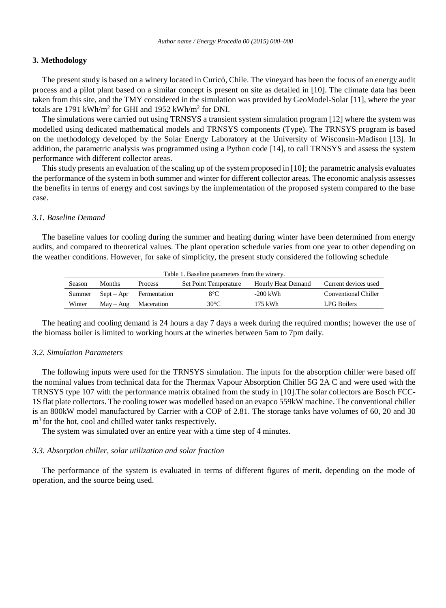# **3. Methodology**

The present study is based on a winery located in Curicó, Chile. The vineyard has been the focus of an energy audit process and a pilot plant based on a similar concept is present on site as detailed in [10]. The climate data has been taken from this site, and the TMY considered in the simulation was provided by GeoModel-Solar [11], where the year totals are 1791 kWh/m<sup>2</sup> for GHI and 1952 kWh/m<sup>2</sup> for DNI.

The simulations were carried out using TRNSYS a transient system simulation program [12] where the system was modelled using dedicated mathematical models and TRNSYS components (Type). The TRNSYS program is based on the methodology developed by the Solar Energy Laboratory at the University of Wisconsin-Madison [13]. In addition, the parametric analysis was programmed using a Python code [14], to call TRNSYS and assess the system performance with different collector areas.

This study presents an evaluation of the scaling up of the system proposed in [10]; the parametric analysis evaluates the performance of the system in both summer and winter for different collector areas. The economic analysis assesses the benefits in terms of energy and cost savings by the implementation of the proposed system compared to the base case.

# *3.1. Baseline Demand*

The baseline values for cooling during the summer and heating during winter have been determined from energy audits, and compared to theoretical values. The plant operation schedule varies from one year to other depending on the weather conditions. However, for sake of simplicity, the present study considered the following schedule

| Table 1. Baseline parameters from the winery. |        |                                |                       |                    |                      |  |
|-----------------------------------------------|--------|--------------------------------|-----------------------|--------------------|----------------------|--|
| Season                                        | Months | <b>Process</b>                 | Set Point Temperature | Hourly Heat Demand | Current devices used |  |
|                                               |        | Summer Sept – Apr Fermentation | $8^{\circ}C$          | $-200$ kWh         | Conventional Chiller |  |
| Winter                                        |        | $May - Aug$ Maceration         | 30°C.                 | 175 kWh            | <b>LPG</b> Boilers   |  |

The heating and cooling demand is 24 hours a day 7 days a week during the required months; however the use of the biomass boiler is limited to working hours at the wineries between 5am to 7pm daily.

# *3.2. Simulation Parameters*

The following inputs were used for the TRNSYS simulation. The inputs for the absorption chiller were based off the nominal values from technical data for the Thermax Vapour Absorption Chiller 5G 2A C and were used with the TRNSYS type 107 with the performance matrix obtained from the study in [10].The solar collectors are Bosch FCC-1S flat plate collectors. The cooling tower was modelled based on an evapco 559kW machine. The conventional chiller is an 800kW model manufactured by Carrier with a COP of 2.81. The storage tanks have volumes of 60, 20 and 30 m<sup>3</sup> for the hot, cool and chilled water tanks respectively.

The system was simulated over an entire year with a time step of 4 minutes.

# *3.3. Absorption chiller, solar utilization and solar fraction*

The performance of the system is evaluated in terms of different figures of merit, depending on the mode of operation, and the source being used.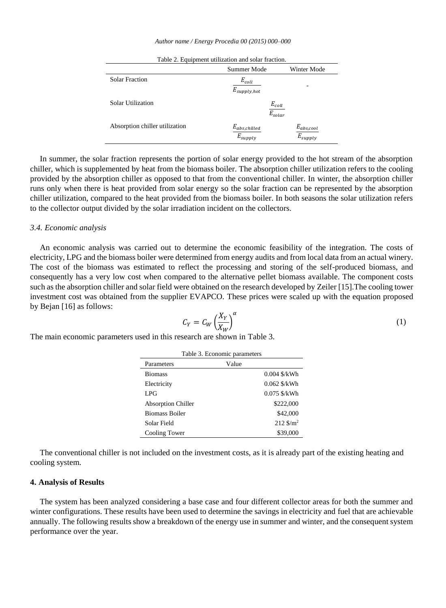#### *Author name / Energy Procedia 00 (2015) 000–000*

| $-11$                          |                                 |                                |
|--------------------------------|---------------------------------|--------------------------------|
|                                | Summer Mode                     | Winter Mode                    |
| Solar Fraction                 | $E_{coll}$<br>$E_{supply,hot}$  | -                              |
| Solar Utilization              | $\frac{E_{coll}}{E_{solar}}$    |                                |
| Absorption chiller utilization | $E_{abs,child}$<br>$E_{supply}$ | $E_{abs,cool}$<br>$E_{supply}$ |

Table 2. Equipment utilization and solar fraction.

In summer, the solar fraction represents the portion of solar energy provided to the hot stream of the absorption chiller, which is supplemented by heat from the biomass boiler. The absorption chiller utilization refers to the cooling provided by the absorption chiller as opposed to that from the conventional chiller. In winter, the absorption chiller runs only when there is heat provided from solar energy so the solar fraction can be represented by the absorption chiller utilization, compared to the heat provided from the biomass boiler. In both seasons the solar utilization refers to the collector output divided by the solar irradiation incident on the collectors.

#### *3.4. Economic analysis*

An economic analysis was carried out to determine the economic feasibility of the integration. The costs of electricity, LPG and the biomass boiler were determined from energy audits and from local data from an actual winery. The cost of the biomass was estimated to reflect the processing and storing of the self-produced biomass, and consequently has a very low cost when compared to the alternative pellet biomass available. The component costs such as the absorption chiller and solar field were obtained on the research developed by Zeiler [15].The cooling tower investment cost was obtained from the supplier EVAPCO. These prices were scaled up with the equation proposed by Bejan [16] as follows:

$$
C_Y = C_W \left(\frac{X_Y}{X_W}\right)^\alpha \tag{1}
$$

<span id="page-4-0"></span>The main economic parameters used in this research are shown in [Table 3.](#page-4-0)

| Table 3. Economic parameters |                   |  |  |
|------------------------------|-------------------|--|--|
| Parameters                   | Value             |  |  |
| <b>Biomass</b>               | $0.004$ \$/kWh    |  |  |
| Electricity                  | $0.062$ \$/kWh    |  |  |
| LPG.                         | $0.075$ \$/kWh    |  |  |
| <b>Absorption Chiller</b>    | \$222,000         |  |  |
| <b>Biomass Boiler</b>        | \$42,000          |  |  |
| Solar Field                  | $212 \text{ m}^2$ |  |  |
| Cooling Tower                | \$39,000          |  |  |

The conventional chiller is not included on the investment costs, as it is already part of the existing heating and cooling system.

#### **4. Analysis of Results**

The system has been analyzed considering a base case and four different collector areas for both the summer and winter configurations. These results have been used to determine the savings in electricity and fuel that are achievable annually. The following results show a breakdown of the energy use in summer and winter, and the consequent system performance over the year.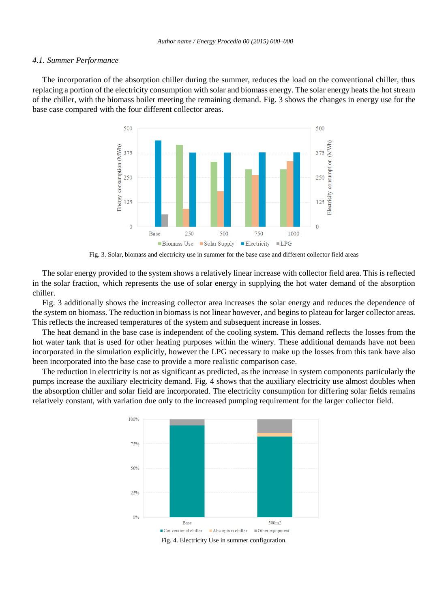#### *4.1. Summer Performance*

The incorporation of the absorption chiller during the summer, reduces the load on the conventional chiller, thus replacing a portion of the electricity consumption with solar and biomass energy. The solar energy heats the hot stream of the chiller, with the biomass boiler meeting the remaining demand. [Fig. 3](#page-5-0) shows the changes in energy use for the base case compared with the four different collector areas.



Fig. 3. Solar, biomass and electricity use in summer for the base case and different collector field areas

<span id="page-5-0"></span>The solar energy provided to the system shows a relatively linear increase with collector field area. This is reflected in the solar fraction, which represents the use of solar energy in supplying the hot water demand of the absorption chiller.

[Fig. 3](#page-5-0) additionally shows the increasing collector area increases the solar energy and reduces the dependence of the system on biomass. The reduction in biomass is not linear however, and begins to plateau for larger collector areas. This reflects the increased temperatures of the system and subsequent increase in losses.

The heat demand in the base case is independent of the cooling system. This demand reflects the losses from the hot water tank that is used for other heating purposes within the winery. These additional demands have not been incorporated in the simulation explicitly, however the LPG necessary to make up the losses from this tank have also been incorporated into the base case to provide a more realistic comparison case.

The reduction in electricity is not as significant as predicted, as the increase in system components particularly the pumps increase the auxiliary electricity demand. [Fig. 4](#page-5-1) shows that the auxiliary electricity use almost doubles when the absorption chiller and solar field are incorporated. The electricity consumption for differing solar fields remains relatively constant, with variation due only to the increased pumping requirement for the larger collector field.



<span id="page-5-1"></span>Fig. 4. Electricity Use in summer configuration.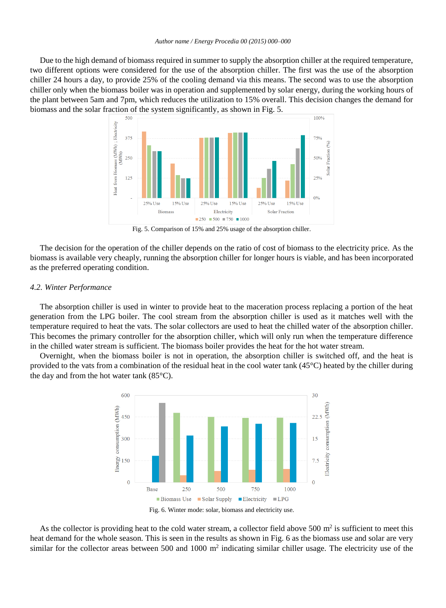Due to the high demand of biomass required in summer to supply the absorption chiller at the required temperature, two different options were considered for the use of the absorption chiller. The first was the use of the absorption chiller 24 hours a day, to provide 25% of the cooling demand via this means. The second was to use the absorption chiller only when the biomass boiler was in operation and supplemented by solar energy, during the working hours of the plant between 5am and 7pm, which reduces the utilization to 15% overall. This decision changes the demand for biomass and the solar fraction of the system significantly, as shown in [Fig.](#page-6-0) 5.



Fig. 5. Comparison of 15% and 25% usage of the absorption chiller.

<span id="page-6-0"></span>The decision for the operation of the chiller depends on the ratio of cost of biomass to the electricity price. As the biomass is available very cheaply, running the absorption chiller for longer hours is viable, and has been incorporated as the preferred operating condition.

#### *4.2. Winter Performance*

The absorption chiller is used in winter to provide heat to the maceration process replacing a portion of the heat generation from the LPG boiler. The cool stream from the absorption chiller is used as it matches well with the temperature required to heat the vats. The solar collectors are used to heat the chilled water of the absorption chiller. This becomes the primary controller for the absorption chiller, which will only run when the temperature difference in the chilled water stream is sufficient. The biomass boiler provides the heat for the hot water stream.

Overnight, when the biomass boiler is not in operation, the absorption chiller is switched off, and the heat is provided to the vats from a combination of the residual heat in the cool water tank (45°C) heated by the chiller during the day and from the hot water tank (85°C).



Fig. 6. Winter mode: solar, biomass and electricity use.

<span id="page-6-1"></span>As the collector is providing heat to the cold water stream, a collector field above 500  $m<sup>2</sup>$  is sufficient to meet this heat demand for the whole season. This is seen in the results as shown i[n Fig. 6](#page-6-1) as the biomass use and solar are very similar for the collector areas between 500 and  $1000 \text{ m}^2$  indicating similar chiller usage. The electricity use of the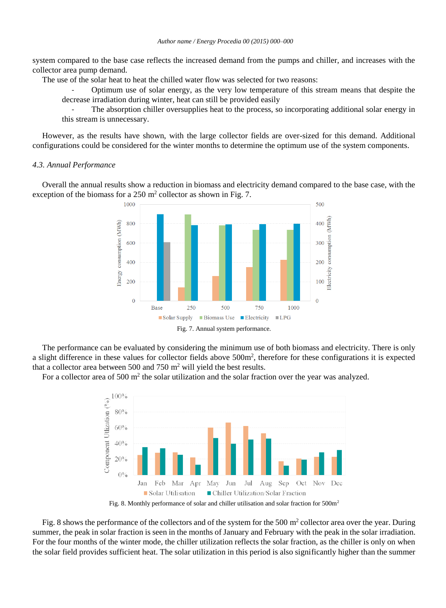system compared to the base case reflects the increased demand from the pumps and chiller, and increases with the collector area pump demand.

The use of the solar heat to heat the chilled water flow was selected for two reasons:

- Optimum use of solar energy, as the very low temperature of this stream means that despite the decrease irradiation during winter, heat can still be provided easily

The absorption chiller oversupplies heat to the process, so incorporating additional solar energy in this stream is unnecessary.

However, as the results have shown, with the large collector fields are over-sized for this demand. Additional configurations could be considered for the winter months to determine the optimum use of the system components.

# *4.3. Annual Performance*

Overall the annual results show a reduction in biomass and electricity demand compared to the base case, with the exception of the biomass for a  $250 \text{ m}^2$  collector as shown in [Fig. 7.](#page-7-0)





<span id="page-7-0"></span>The performance can be evaluated by considering the minimum use of both biomass and electricity. There is only a slight difference in these values for collector fields above  $500<sup>m</sup>$ , therefore for these configurations it is expected that a collector area between 500 and 750  $m<sup>2</sup>$  will yield the best results.

For a collector area of 500  $m<sup>2</sup>$  the solar utilization and the solar fraction over the year was analyzed.



Fig. 8. Monthly performance of solar and chiller utilisation and solar fraction for 500m<sup>2</sup>

<span id="page-7-1"></span>[Fig. 8](#page-7-1) shows the performance of the collectors and of the system for the 500 m<sup>2</sup> collector area over the year. During summer, the peak in solar fraction is seen in the months of January and February with the peak in the solar irradiation. For the four months of the winter mode, the chiller utilization reflects the solar fraction, as the chiller is only on when the solar field provides sufficient heat. The solar utilization in this period is also significantly higher than the summer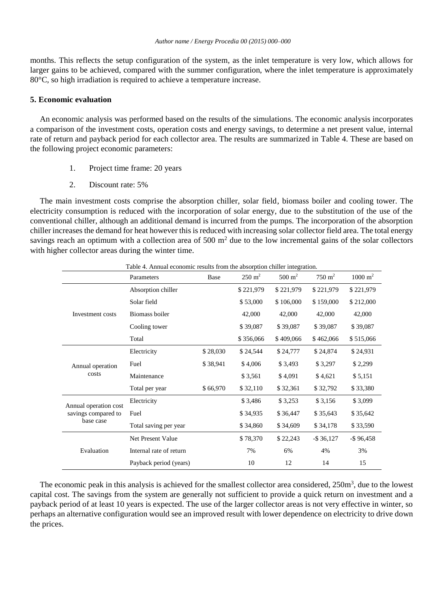months. This reflects the setup configuration of the system, as the inlet temperature is very low, which allows for larger gains to be achieved, compared with the summer configuration, where the inlet temperature is approximately 80°C, so high irradiation is required to achieve a temperature increase.

# **5. Economic evaluation**

the prices.

An economic analysis was performed based on the results of the simulations. The economic analysis incorporates a comparison of the investment costs, operation costs and energy savings, to determine a net present value, internal rate of return and payback period for each collector area. The results are summarized in [Table 4.](#page-8-0) These are based on the following project economic parameters:

- 1. Project time frame: 20 years
- 2. Discount rate: 5%

The main investment costs comprise the absorption chiller, solar field, biomass boiler and cooling tower. The electricity consumption is reduced with the incorporation of solar energy, due to the substitution of the use of the conventional chiller, although an additional demand is incurred from the pumps. The incorporation of the absorption chiller increases the demand for heat however this is reduced with increasing solar collector field area. The total energy savings reach an optimum with a collection area of  $500 \text{ m}^2$  due to the low incremental gains of the solar collectors with higher collector areas during the winter time.

<span id="page-8-0"></span>

|                       | Table 4. Annual economic results from the absorption chiller integration. |          |                   |                   |                       |                        |
|-----------------------|---------------------------------------------------------------------------|----------|-------------------|-------------------|-----------------------|------------------------|
|                       | Parameters                                                                | Base     | $250 \text{ m}^2$ | $500 \text{ m}^2$ | $750 \; \mathrm{m}^2$ | $1000 \; \mathrm{m}^2$ |
|                       | Absorption chiller                                                        |          | \$221,979         | \$221,979         | \$221,979             | \$221,979              |
|                       | Solar field                                                               |          | \$53,000          | \$106,000         | \$159,000             | \$212,000              |
| Investment costs      | <b>Biomass boiler</b>                                                     |          | 42,000            | 42,000            | 42,000                | 42,000                 |
|                       | Cooling tower                                                             |          | \$39,087          | \$39,087          | \$39,087              | \$39,087               |
|                       | Total                                                                     |          | \$356,066         | \$409,066         | \$462,066             | \$515,066              |
|                       | Electricity                                                               | \$28,030 | \$24,544          | \$24,777          | \$24,874              | \$24,931               |
| Annual operation      | Fuel                                                                      | \$38,941 | \$4,006           | \$3,493           | \$3,297               | \$2,299                |
| costs                 | Maintenance                                                               |          | \$3,561           | \$4,091           | \$4,621               | \$5,151                |
|                       | Total per year                                                            | \$66,970 | \$32,110          | \$32,361          | \$32,792              | \$33,380               |
| Annual operation cost | Electricity                                                               |          | \$3,486           | \$3,253           | \$3,156               | \$3,099                |
| savings compared to   | Fuel                                                                      |          | \$34,935          | \$36,447          | \$35,643              | \$35,642               |
| base case             | Total saving per year                                                     |          | \$34,860          | \$34,609          | \$34,178              | \$33,590               |
|                       | Net Present Value                                                         |          | \$78,370          | \$22,243          | $-$ \$ 36,127         | $-$ \$ 96,458          |
| Evaluation            | Internal rate of return                                                   |          | 7%                | 6%                | 4%                    | 3%                     |
|                       | Payback period (years)                                                    |          | 10                | 12                | 14                    | 15                     |

The economic peak in this analysis is achieved for the smallest collector area considered, 250m<sup>3</sup>, due to the lowest capital cost. The savings from the system are generally not sufficient to provide a quick return on investment and a payback period of at least 10 years is expected. The use of the larger collector areas is not very effective in winter, so perhaps an alternative configuration would see an improved result with lower dependence on electricity to drive down